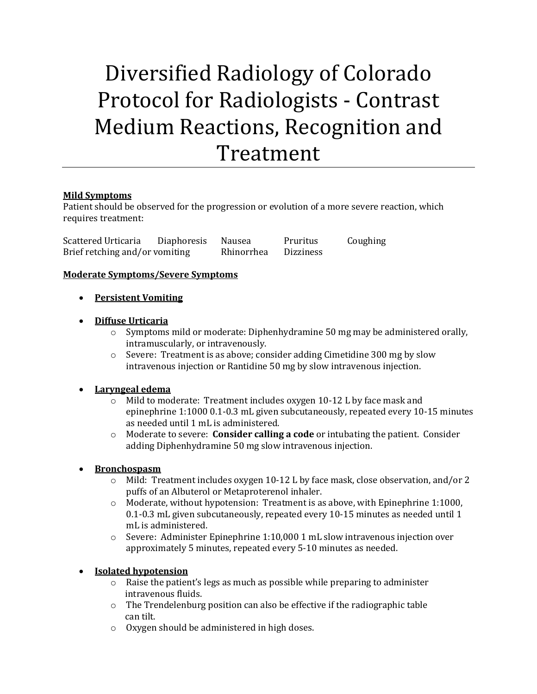# Diversified Radiology of Colorado Protocol for Radiologists - Contrast Medium Reactions, Recognition and Treatment

# **Mild Symptoms**

Patient should be observed for the progression or evolution of a more severe reaction, which requires treatment:

Scattered Urticaria Diaphoresis Nausea Pruritus Coughing Brief retching and/or vomiting Rhinorrhea Dizziness

#### **Moderate Symptoms/Severe Symptoms**

- **Persistent Vomiting**
- **Diffuse Urticaria**
	- o Symptoms mild or moderate: Diphenhydramine 50 mg may be administered orally, intramuscularly, or intravenously.
	- $\circ$  Severe: Treatment is as above; consider adding Cimetidine 300 mg by slow intravenous injection or Rantidine 50 mg by slow intravenous injection.

# **Laryngeal edema**

- o Mild to moderate: Treatment includes oxygen 10-12 L by face mask and epinephrine 1:1000 0.1-0.3 mL given subcutaneously, repeated every 10-15 minutes as needed until 1 mL is administered.
- o Moderate to severe: **Consider calling a code** or intubating the patient. Consider adding Diphenhydramine 50 mg slow intravenous injection.
- **Bronchospasm**
	- o Mild: Treatment includes oxygen 10-12 L by face mask, close observation, and/or 2 puffs of an Albuterol or Metaproterenol inhaler.
	- $\circ$  Moderate, without hypotension: Treatment is as above, with Epinephrine 1:1000, 0.1-0.3 mL given subcutaneously, repeated every 10-15 minutes as needed until 1 mL is administered.
	- $\circ$  Severe: Administer Epinephrine 1:10,000 1 mL slow intravenous injection over approximately 5 minutes, repeated every 5-10 minutes as needed.

# **Isolated hypotension**

- o Raise the patient's legs as much as possible while preparing to administer intravenous fluids.
- o The Trendelenburg position can also be effective if the radiographic table can tilt.
- o Oxygen should be administered in high doses.